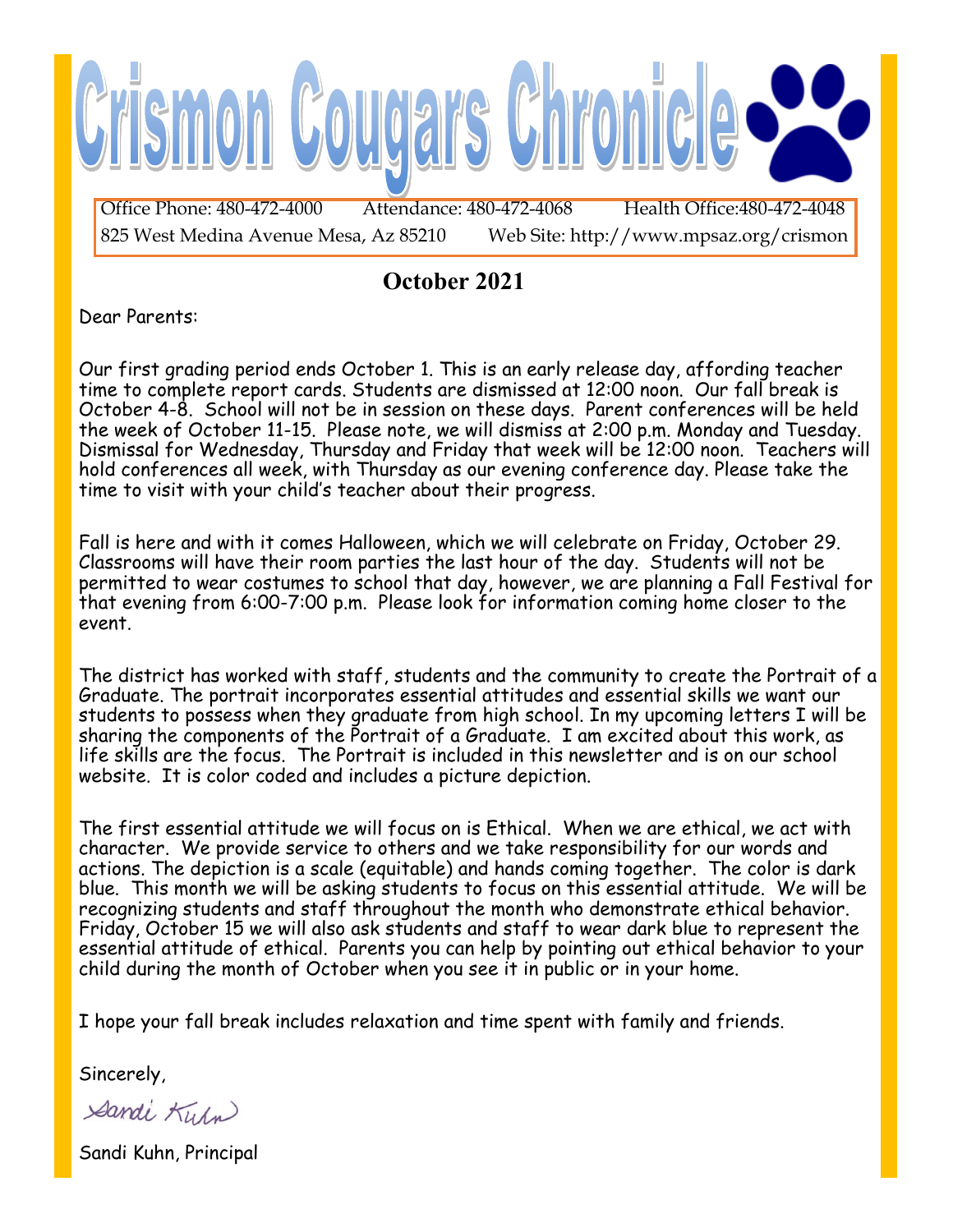

### **October 2021**

Dear Parents:

Our first grading period ends October 1. This is an early release day, affording teacher time to complete report cards. Students are dismissed at 12:00 noon. Our fall break is October 4-8. School will not be in session on these days. Parent conferences will be held the week of October 11-15. Please note, we will dismiss at 2:00 p.m. Monday and Tuesday. Dismissal for Wednesday, Thursday and Friday that week will be 12:00 noon. Teachers will hold conferences all week, with Thursday as our evening conference day. Please take the time to visit with your child's teacher about their progress.

Fall is here and with it comes Halloween, which we will celebrate on Friday, October 29. Classrooms will have their room parties the last hour of the day. Students will not be permitted to wear costumes to school that day, however, we are planning a Fall Festival for that evening from 6:00-7:00 p.m. Please look for information coming home closer to the event.

The district has worked with staff, students and the community to create the Portrait of a Graduate. The portrait incorporates essential attitudes and essential skills we want our students to possess when they graduate from high school. In my upcoming letters I will be sharing the components of the Portrait of a Graduate. I am excited about this work, as life skills are the focus. The Portrait is included in this newsletter and is on our school website. It is color coded and includes a picture depiction.

The first essential attitude we will focus on is Ethical. When we are ethical, we act with character. We provide service to others and we take responsibility for our words and actions. The depiction is a scale (equitable) and hands coming together. The color is dark blue. This month we will be asking students to focus on this essential attitude. We will be recognizing students and staff throughout the month who demonstrate ethical behavior. Friday, October 15 we will also ask students and staff to wear dark blue to represent the essential attitude of ethical. Parents you can help by pointing out ethical behavior to your child during the month of October when you see it in public or in your home.

I hope your fall break includes relaxation and time spent with family and friends.

Sincerely,

Sandi Kurn

Sandi Kuhn, Principal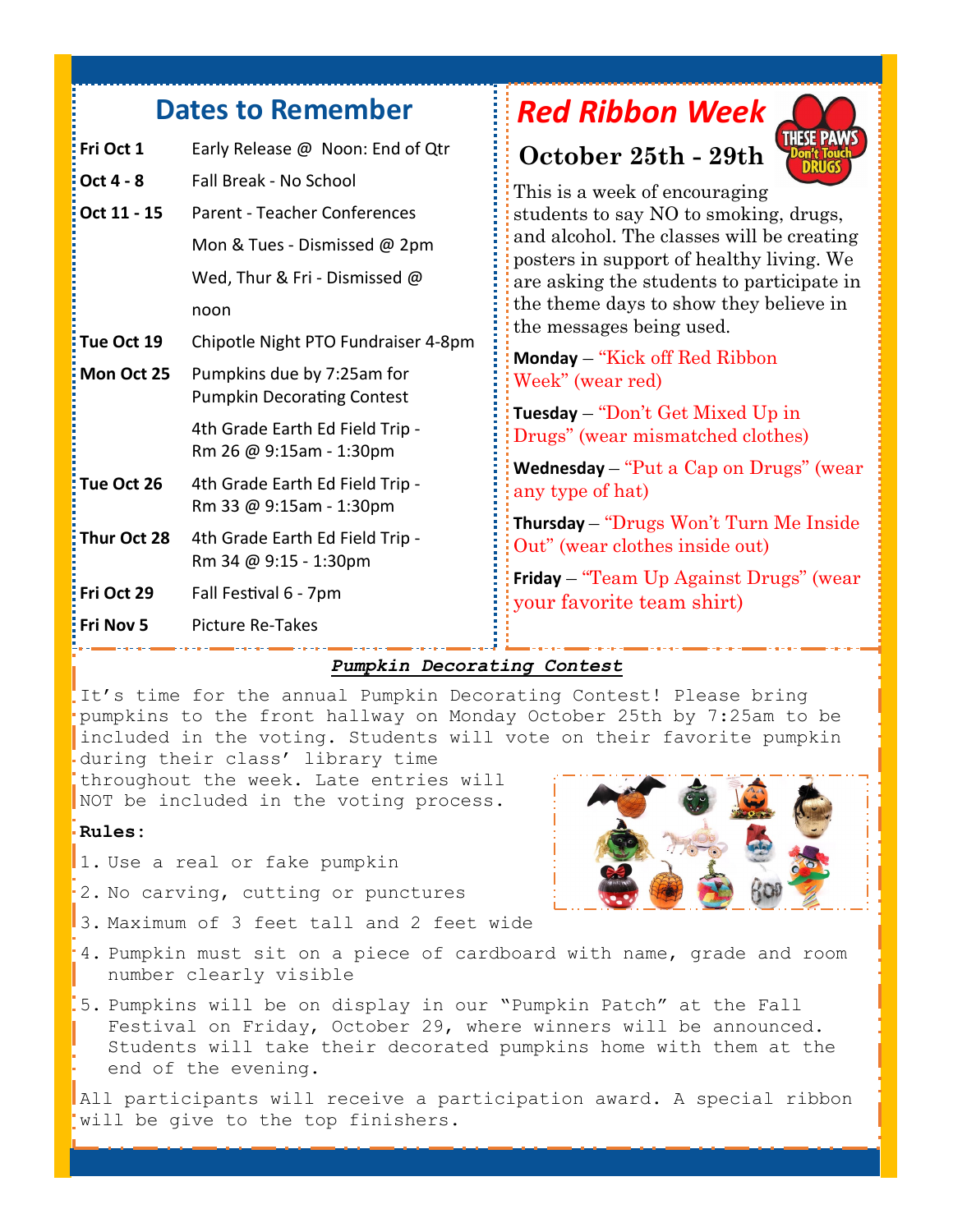## **Dates to Remember**

| : Fri Oct 1          | Early Release @ Noon: End of Qtr                                |
|----------------------|-----------------------------------------------------------------|
| Oct 4 - 8            | Fall Break - No School                                          |
| <u>:</u> Oct 11 - 15 | <b>Parent - Teacher Conferences</b>                             |
|                      | Mon & Tues - Dismissed @ 2pm                                    |
|                      | Wed, Thur & Fri - Dismissed @                                   |
|                      | noon                                                            |
| Tue Oct 19           | Chipotle Night PTO Fundraiser 4-8pm                             |
| Mon Oct 25           | Pumpkins due by 7:25am for<br><b>Pumpkin Decorating Contest</b> |
|                      | 4th Grade Earth Ed Field Trip -<br>Rm 26 @ 9:15am - 1:30pm      |
| Tue Oct 26           | 4th Grade Earth Ed Field Trip -<br>Rm 33 @ 9:15am - 1:30pm      |
| Thur Oct 28          | 4th Grade Earth Ed Field Trip -<br>Rm 34 @ 9:15 - 1:30pm        |
| Fri Oct 29           | Fall Festival 6 - 7pm                                           |
| : Fri Nov 5          | <b>Picture Re-Takes</b>                                         |
|                      |                                                                 |

## *Red Ribbon Week*

## **October 25th - 29th**



This is a week of encouraging students to say NO to smoking, drugs, and alcohol. The classes will be creating posters in support of healthy living. We are asking the students to participate in the theme days to show they believe in the messages being used.

**Monday** – "Kick off Red Ribbon Week" (wear red)

**Tuesday** – "Don't Get Mixed Up in Drugs" (wear mismatched clothes)

**Wednesday** – "Put a Cap on Drugs" (wear any type of hat)

**Thursday** – "Drugs Won't Turn Me Inside Out" (wear clothes inside out)

**Friday** – "Team Up Against Drugs" (wear your favorite team shirt)

#### *Pumpkin Decorating Contest*

It's time for the annual Pumpkin Decorating Contest! Please bring pumpkins to the front hallway on Monday October 25th by 7:25am to be included in the voting. Students will vote on their favorite pumpkin during their class' library time

throughout the week. Late entries will NOT be included in the voting process.

#### **Rules:**

- 1. Use a real or fake pumpkin
- 2. No carving, cutting or punctures
- 3. Maximum of 3 feet tall and 2 feet wide
- 4. Pumpkin must sit on a piece of cardboard with name, grade and room number clearly visible
- 5. Pumpkins will be on display in our "Pumpkin Patch" at the Fall Festival on Friday, October 29, where winners will be announced. Students will take their decorated pumpkins home with them at the end of the evening.

All participants will receive a participation award. A special ribbon will be give to the top finishers.

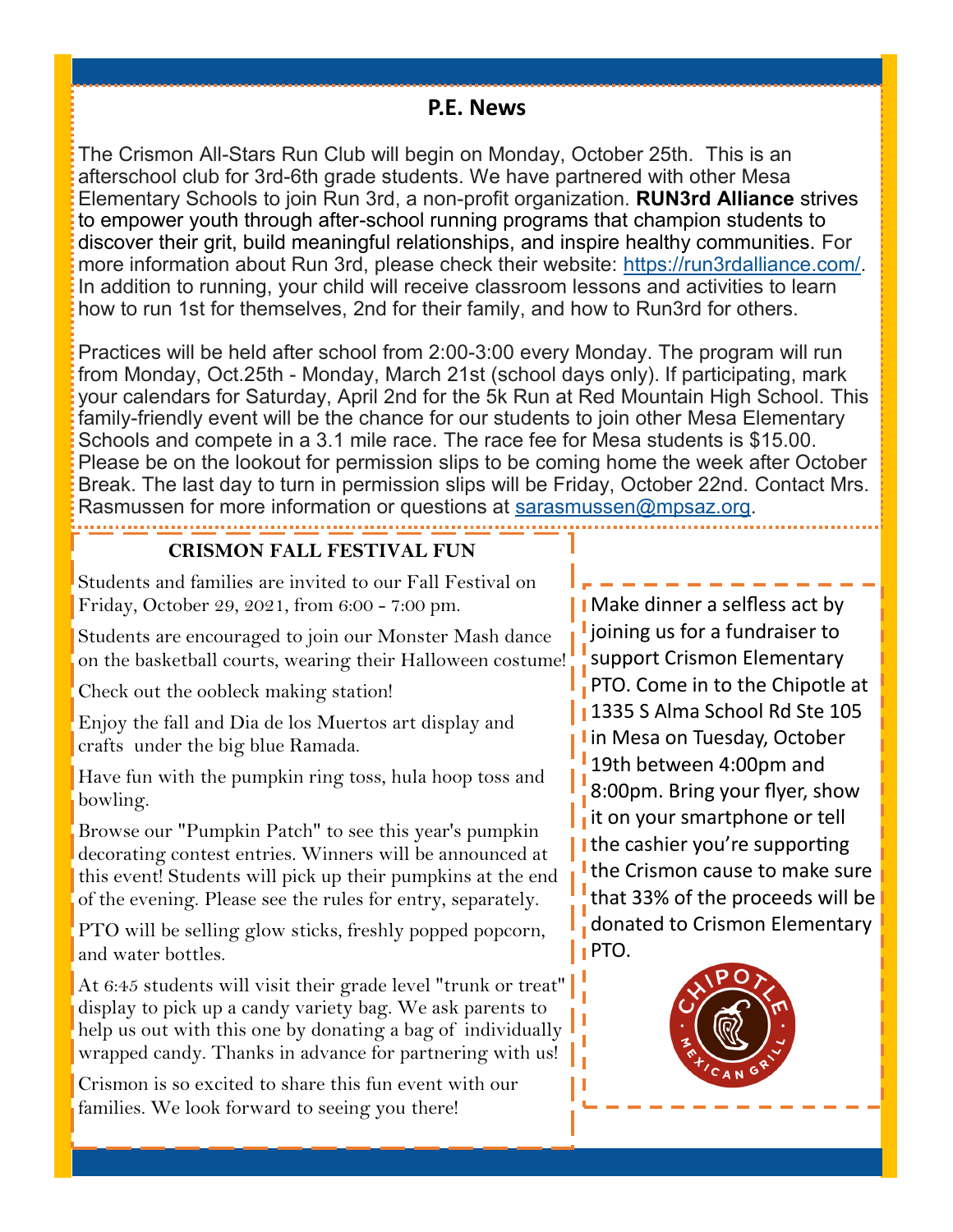#### **P.E. News**

The Crismon All-Stars Run Club will begin on Monday, October 25th. This is an afterschool club for 3rd-6th grade students. We have partnered with other Mesa Elementary Schools to join Run 3rd, a non-profit organization. **RUN3rd Alliance** strives to empower youth through after-school running programs that champion students to discover their grit, build meaningful relationships, and inspire healthy communities. For more information about Run 3rd, please check their website: [https://run3rdalliance.com/.](https://run3rdalliance.com/)  In addition to running, your child will receive classroom lessons and activities to learn how to run 1st for themselves, 2nd for their family, and how to Run3rd for others.

Practices will be held after school from 2:00-3:00 every Monday. The program will run from Monday, Oct.25th - Monday, March 21st (school days only). If participating, mark your calendars for Saturday, April 2nd for the 5k Run at Red Mountain High School. This family-friendly event will be the chance for our students to join other Mesa Elementary Schools and compete in a 3.1 mile race. The race fee for Mesa students is \$15.00. Please be on the lookout for permission slips to be coming home the week after October Break. The last day to turn in permission slips will be Friday, October 22nd. Contact Mrs. Rasmussen for more information or questions at [sarasmussen@mpsaz.org.](mailto:sarasmussen@mpsaz.org)

#### **CRISMON FALL FESTIVAL FUN**

Students and families are invited to our Fall Festival on Friday, October 29, 2021, from 6:00 - 7:00 pm.

Students are encouraged to join our Monster Mash dance on the basketball courts, wearing their Halloween costume!

Check out the oobleck making station!

Enjoy the fall and Dia de los Muertos art display and crafts under the big blue Ramada.

Have fun with the pumpkin ring toss, hula hoop toss and bowling.

Browse our "Pumpkin Patch" to see this year's pumpkin decorating contest entries. Winners will be announced at this event! Students will pick up their pumpkins at the end of the evening. Please see the rules for entry, separately.

PTO will be selling glow sticks, freshly popped popcorn, and water bottles.

At 6:45 students will visit their grade level "trunk or treat" display to pick up a candy variety bag. We ask parents to help us out with this one by donating a bag of individually wrapped candy. Thanks in advance for partnering with us!

Crismon is so excited to share this fun event with our families. We look forward to seeing you there!

Make dinner a selfless act by lioining us for a fundraiser to support Crismon Elementary PTO. Come in to the Chipotle at **1335 S Alma School Rd Ste 105** I in Mesa on Tuesday, October 19th between 4:00pm and 8:00pm. Bring your flyer, show it on your smartphone or tell I the cashier you're supporting the Crismon cause to make sure that 33% of the proceeds will be donated to Crismon Elementary **I** PTO.